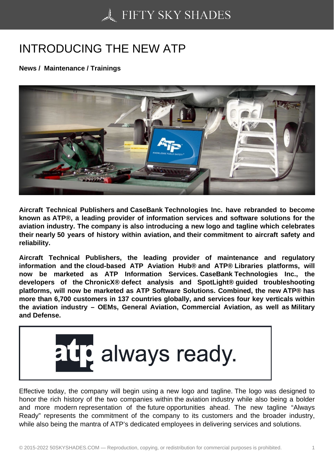## [INTRODUCING THE N](https://50skyshades.com)EW ATP

News / Maintenance / Trainings

Aircraft Technical Publishers and CaseBank Technologies Inc. have rebranded to become known as ATP®, a leading provider of information services and software solutions for the aviation industry. The company is also introducing a new logo and tagline which celebrates their nearly 50 years of history within aviation, and their commitment to aircraft safety and reliability.

Aircraft Technical Publishers, the leading provider of maintenance and regulatory information and the cloud-based ATP Aviation Hub® and ATP® Libraries platforms, will now be marketed as ATP Information Services. CaseBank Technologies Inc., the developers of the ChronicX® defect analysis and SpotLight® guided troubleshooting platforms, will now be marketed as ATP Software Solutions. Combined, the new ATP® has more than 6,700 customers in 137 countries globally, and services four key verticals within the aviation industry – OEMs, General Aviation, Commercial Aviation, as well as Military and Defense.

Effective today, the company will begin using a new logo and tagline. The logo was designed to honor the rich history of the two companies within the aviation industry while also being a bolder and more modern representation of the future opportunities ahead. The new tagline "Always Ready" represents the commitment of the company to its customers and the broader industry, while also being the mantra of ATP's dedicated employees in delivering services and solutions.